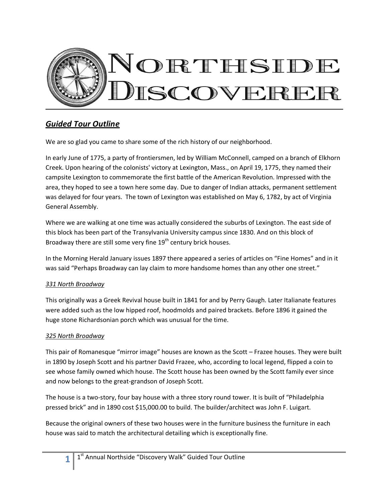

# *Guided Tour Outline*

We are so glad you came to share some of the rich history of our neighborhood.

In early June of 1775, a party of frontiersmen, led by William McConnell, camped on a branch of Elkhorn Creek. Upon hearing of the colonists' victory at Lexington, Mass., on April 19, 1775, they named their campsite Lexington to commemorate the first battle of the American Revolution. Impressed with the area, they hoped to see a town here some day. Due to danger of Indian attacks, permanent settlement was delayed for four years. The town of Lexington was established on May 6, 1782, by act of Virginia General Assembly.

Where we are walking at one time was actually considered the suburbs of Lexington. The east side of this block has been part of the Transylvania University campus since 1830. And on this block of Broadway there are still some very fine  $19<sup>th</sup>$  century brick houses.

In the Morning Herald January issues 1897 there appeared a series of articles on "Fine Homes" and in it was said "Perhaps Broadway can lay claim to more handsome homes than any other one street."

## *331 North Broadway*

This originally was a Greek Revival house built in 1841 for and by Perry Gaugh. Later Italianate features were added such as the low hipped roof, hoodmolds and paired brackets. Before 1896 it gained the huge stone Richardsonian porch which was unusual for the time.

## *325 North Broadway*

This pair of Romanesque "mirror image" houses are known as the Scott – Frazee houses. They were built in 1890 by Joseph Scott and his partner David Frazee, who, according to local legend, flipped a coin to see whose family owned which house. The Scott house has been owned by the Scott family ever since and now belongs to the great-grandson of Joseph Scott.

The house is a two-story, four bay house with a three story round tower. It is built of "Philadelphia pressed brick" and in 1890 cost \$15,000.00 to build. The builder/architect was John F. Luigart.

Because the original owners of these two houses were in the furniture business the furniture in each house was said to match the architectural detailing which is exceptionally fine.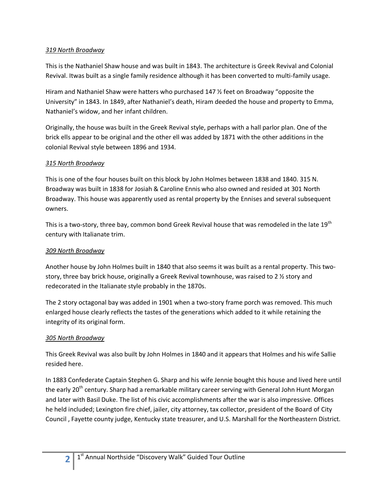### *319 North Broadway*

This is the Nathaniel Shaw house and was built in 1843. The architecture is Greek Revival and Colonial Revival. Itwas built as a single family residence although it has been converted to multi-family usage.

Hiram and Nathaniel Shaw were hatters who purchased 147 ½ feet on Broadway "opposite the University" in 1843. In 1849, after Nathaniel's death, Hiram deeded the house and property to Emma, Nathaniel's widow, and her infant children.

Originally, the house was built in the Greek Revival style, perhaps with a hall parlor plan. One of the brick ells appear to be original and the other ell was added by 1871 with the other additions in the colonial Revival style between 1896 and 1934.

## *315 North Broadway*

This is one of the four houses built on this block by John Holmes between 1838 and 1840. 315 N. Broadway was built in 1838 for Josiah & Caroline Ennis who also owned and resided at 301 North Broadway. This house was apparently used as rental property by the Ennises and several subsequent owners.

This is a two-story, three bay, common bond Greek Revival house that was remodeled in the late 19<sup>th</sup> century with Italianate trim.

### *309 North Broadway*

Another house by John Holmes built in 1840 that also seems it was built as a rental property. This twostory, three bay brick house, originally a Greek Revival townhouse, was raised to 2 ½ story and redecorated in the Italianate style probably in the 1870s.

The 2 story octagonal bay was added in 1901 when a two-story frame porch was removed. This much enlarged house clearly reflects the tastes of the generations which added to it while retaining the integrity of its original form.

## *305 North Broadway*

This Greek Revival was also built by John Holmes in 1840 and it appears that Holmes and his wife Sallie resided here.

In 1883 Confederate Captain Stephen G. Sharp and his wife Jennie bought this house and lived here until the early 20<sup>th</sup> century. Sharp had a remarkable military career serving with General John Hunt Morgan and later with Basil Duke. The list of his civic accomplishments after the war is also impressive. Offices he held included; Lexington fire chief, jailer, city attorney, tax collector, president of the Board of City Council , Fayette county judge, Kentucky state treasurer, and U.S. Marshall for the Northeastern District.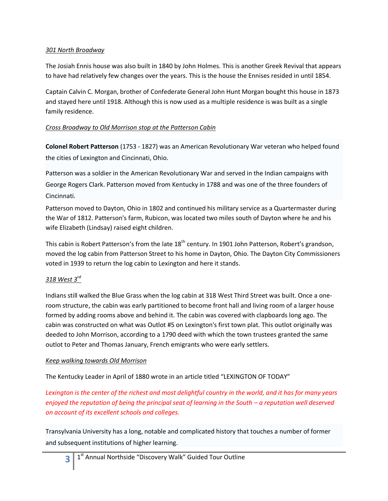### *301 North Broadway*

The Josiah Ennis house was also built in 1840 by John Holmes. This is another Greek Revival that appears to have had relatively few changes over the years. This is the house the Ennises resided in until 1854.

Captain Calvin C. Morgan, brother of Confederate General John Hunt Morgan bought this house in 1873 and stayed here until 1918. Although this is now used as a multiple residence is was built as a single family residence.

## *Cross Broadway to Old Morrison stop at the Patterson Cabin*

**Colonel Robert Patterson** [\(1753](http://en.wikipedia.org/wiki/1753) - [1827\)](http://en.wikipedia.org/wiki/1827) was an [American Revolutionary War](http://en.wikipedia.org/wiki/American_Revolutionary_War) veteran who helped found the cities o[f Lexington](http://en.wikipedia.org/wiki/Lexington%2C_Kentucky) and [Cincinnati, Ohio.](http://en.wikipedia.org/wiki/Cincinnati%2C_Ohio)

Patterson was a soldier in the [American Revolutionary War](http://en.wikipedia.org/wiki/American_Revolutionary_War) and served in the Indian campaigns with [George Rogers Clark.](http://en.wikipedia.org/wiki/George_Rogers_Clark) Patterson moved from Kentucky in [1788](http://en.wikipedia.org/wiki/1788) and was one of the three founders of Cincinnati.

Patterson moved to [Dayton, Ohio](http://en.wikipedia.org/wiki/Dayton%2C_Ohio) in [1802](http://en.wikipedia.org/wiki/1802) and continued his military service as a Quartermaster during the [War of 1812.](http://en.wikipedia.org/wiki/War_of_1812) Patterson's farm, Rubicon, was located two miles south of Dayton where he and his wife Elizabeth (Lindsay) raised eight children.

This cabin is Robert Patterson's from the late  $18<sup>th</sup>$  century. In 1901 John Patterson, Robert's grandson, moved the log cabin from Patterson Street to his home in Dayton, Ohio. The Dayton City Commissioners voted in 1939 to return the log cabin to Lexington and here it stands.

## *318 West 3rd*

Indians still walked the Blue Grass when the log cabin at 318 West Third Street was built. Once a oneroom structure, the cabin was early partitioned to become front hall and living room of a larger house formed by adding rooms above and behind it. The cabin was covered with clapboards long ago. The cabin was constructed on what was Outlot #5 on Lexington's first town plat. This outlot originally was deeded to John Morrison, according to a 1790 deed with which the town trustees granted the same outlot to Peter and Thomas January, French emigrants who were early settlers.

### *Keep walking towards Old Morrison*

The Kentucky Leader in April of 1880 wrote in an article titled "LEXINGTON OF TODAY"

*Lexington is the center of the richest and most delightful country in the world, and it has for many years enjoyed the reputation of being the principal seat of learning in the South – a reputation well deserved on account of its excellent schools and colleges.* 

Transylvania University has a long, notable and complicated history that touches a number of former and subsequent institutions of higher learning.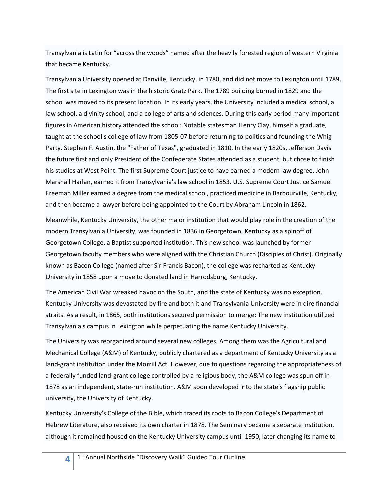Transylvania is Latin for "across the woods" named after the heavily forested region of western Virginia that became Kentucky.

Transylvania University opened at [Danville, Kentucky,](http://en.wikipedia.org/wiki/Danville%2C_Kentucky) in [1780,](http://en.wikipedia.org/wiki/1780) and did not move to Lexington unti[l 1789.](http://en.wikipedia.org/wiki/1789) The first site in Lexington was in the historic Gratz Park. The 1789 building burned in 1829 and the school was moved to its present location. In its early years, the University included a [medical school,](http://en.wikipedia.org/wiki/Medical_school) a [law school,](http://en.wikipedia.org/wiki/Law_school) a [divinity school,](http://en.wikipedia.org/wiki/Divinity_school) and a college of arts and sciences. During this early period many important figures in American history attended the school: Notable statesma[n Henry Clay,](http://en.wikipedia.org/wiki/Henry_Clay) himself a graduate, taught at the school's college of law from [1805-](http://en.wikipedia.org/wiki/1805)07 before returning to politics and founding the [Whig](http://en.wikipedia.org/wiki/Whig_Party_%28United_States%29)  [Party.](http://en.wikipedia.org/wiki/Whig_Party_%28United_States%29) [Stephen F. Austin,](http://en.wikipedia.org/wiki/Stephen_F._Austin) the "Father of [Texas"](http://en.wikipedia.org/wiki/Texas), graduated in [1810.](http://en.wikipedia.org/wiki/1810) In the early [1820s,](http://en.wikipedia.org/wiki/1820) [Jefferson Davis](http://en.wikipedia.org/wiki/Jefferson_Davis) the future first and only [President of the Confederate States](http://en.wikipedia.org/wiki/President_of_the_Confederate_States) attended as a student, but chose to finish his studies at West Point. The first [Supreme Court](http://en.wikipedia.org/wiki/Supreme_Court_of_the_United_States) justice to have earned a modern [law degree,](http://en.wikipedia.org/wiki/Law_degree) [John](http://en.wikipedia.org/wiki/John_Marshall_Harlan)  [Marshall Harlan,](http://en.wikipedia.org/wiki/John_Marshall_Harlan) earned it from Transylvania's law school i[n 1853.](http://en.wikipedia.org/wiki/1853) U.S. Supreme Court Justice [Samuel](http://en.wikipedia.org/wiki/Samuel_Freeman_Miller)  [Freeman Miller](http://en.wikipedia.org/wiki/Samuel_Freeman_Miller) earned a degree from the medical school, practiced medicine in Barbourville, Kentucky, and then became a lawyer before being appointed to the Court by Abraham Lincoln in 1862.

Meanwhile, Kentucky University, the other major institution that would play role in the creation of the modern Transylvania University, was founded in [1836](http://en.wikipedia.org/wiki/1836) in [Georgetown, Kentucky](http://en.wikipedia.org/wiki/Georgetown%2C_Kentucky) as a spinoff of [Georgetown College,](http://en.wikipedia.org/wiki/Georgetown_College) a [Baptist](http://en.wikipedia.org/wiki/Baptist) supported institution. This new school was launched by former Georgetown faculty members who were aligned with the [Christian Church \(Disciples of Christ\).](http://en.wikipedia.org/wiki/Christian_Church_%28Disciples_of_Christ%29) Originally known as Bacon College (named after Sir [Francis Bacon\)](http://en.wikipedia.org/wiki/Francis_Bacon_%28philosopher%29), the college was recharted as Kentucky University i[n 1858](http://en.wikipedia.org/wiki/1858) upon a move to donated land i[n Harrodsburg, Kentucky.](http://en.wikipedia.org/wiki/Harrodsburg%2C_Kentucky)

The [American Civil War](http://en.wikipedia.org/wiki/American_Civil_War) wreaked havoc on the South, and the state of Kentucky was no exception. Kentucky University was devastated by fire and both it and Transylvania University were in dire financial straits. As a result, in [1865,](http://en.wikipedia.org/wiki/1865) both institutions secured permission to merge: The new institution utilized Transylvania's campus in Lexington while perpetuating the name Kentucky University.

The University was reorganized around several new colleges. Among them was the Agricultural and Mechanical College (A&M) of Kentucky, publicly chartered as a department of Kentucky University as a [land-grant institution](http://en.wikipedia.org/wiki/Land-grant_university) under the [Morrill Act.](http://en.wikipedia.org/wiki/Morrill_Act) However, due to questions regarding the appropriateness of a federally funded land-grant college controlled by a religious body, the A&M college was spun off in [1878](http://en.wikipedia.org/wiki/1878) as an independent, state-run institution. A&M soon developed into the state's flagship public university, th[e University of Kentucky.](http://en.wikipedia.org/wiki/University_of_Kentucky)

Kentucky University's College of the Bible, which traced its roots to Bacon College's Department of Hebrew Literature, also received its own charter in [1878.](http://en.wikipedia.org/wiki/1878) The Seminary became a separate institution, although it remained housed on the Kentucky University campus until [1950,](http://en.wikipedia.org/wiki/1950) later changing its name to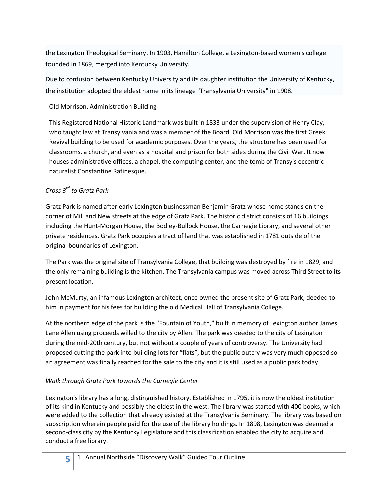the [Lexington Theological Seminary.](http://en.wikipedia.org/wiki/Lexington_Theological_Seminary) In [1903,](http://en.wikipedia.org/wiki/1903) [Hamilton College,](http://en.wikipedia.org/wiki/Hamilton_College_%28Kentucky%29) a Lexington-based [women's college](http://en.wikipedia.org/wiki/Women%27s_college) founded in [1869,](http://en.wikipedia.org/wiki/1869) merged into Kentucky University.

Due to confusion between Kentucky University and its daughter institution the University of Kentucky, the institution adopted the eldest name in its lineage "Transylvania University" in [1908.](http://en.wikipedia.org/wiki/1908)

## Old Morrison, Administration Building

This Registered National Historic Landmark was built in 1833 under the supervision of Henry Clay, who taught law at Transylvania and was a member of the Board. Old Morrison was the first Greek Revival building to be used for academic purposes. Over the years, the structure has been used for classrooms, a church, and even as a hospital and prison for both sides during the Civil War. It now houses administrative offices, a chapel, the computing center, and the tomb of Transy's eccentric naturalist Constantine Rafinesque.

## *Cross 3rd to Gratz Park*

Gratz Park is named after early Lexington businessman Benjamin Gratz whose home stands on the corner of Mill and New streets at the edge of Gratz Park. The historic district consists of 16 buildings including [the Hunt-Morgan House,](http://en.wikipedia.org/wiki/The_Hunt-Morgan_House) the Bodley-Bullock House, the [Carnegie Library,](http://en.wikipedia.org/wiki/Carnegie_Library) and several other private residences. Gratz Park occupies a tract of land that was established in 1781 outside of the original boundaries of Lexington.

The Park was the original site of [Transylvania College,](http://en.wikipedia.org/wiki/Transylvania_College) that building was destroyed by fire in 1829, and the only remaining building is the kitchen. The Transylvania campus was moved across Third Street to its present location.

John McMurty, an infamous Lexington architect, once owned the present site of Gratz Park, deeded to him in payment for his fees for building the old Medical Hall of Transylvania College.

At the northern edge of the park is the "Fountain of Youth," built in memory of Lexington author [James](http://en.wikipedia.org/wiki/James_Lane_Allen)  [Lane Allen](http://en.wikipedia.org/wiki/James_Lane_Allen) using proceeds willed to the city by Allen. The park was deeded to the city of Lexington during the mid-20th century, but not without a couple of years of controversy. The University had proposed cutting the park into building lots for "flats", but the public outcry was very much opposed so an agreement was finally reached for the sale to the city and it is still used as a public park today.

## *Walk through Gratz Park towards the Carnegie Center*

Lexington's library has a long, distinguished history. Established in 1795, it is now the oldest institution of its kind in Kentucky and possibly the oldest in the west. The library was started with 400 books, which were added to the collection that already existed at the Transylvania Seminary. The library was based on subscription wherein people paid for the use of the library holdings. In 1898, Lexington was deemed a second-class city by the Kentucky Legislature and this classification enabled the city to acquire and conduct a free library.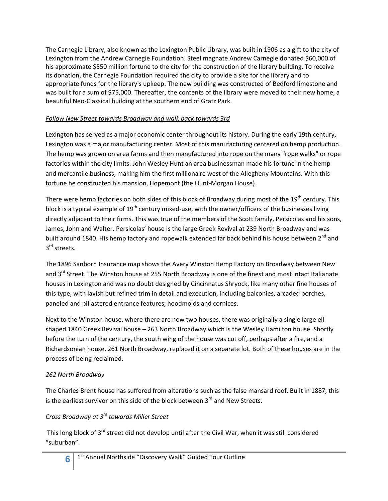The Carnegie Library, also known as the Lexington Public Library, was built in 1906 as a gift to the city of Lexington from the Andrew Carnegie Foundation. Steel magnate Andrew Carnegie donated \$60,000 of his approximate \$550 million fortune to the city for the construction of the library building. To receive its donation, the Carnegie Foundation required the city to provide a site for the library and to appropriate funds for the library's upkeep. The new building was constructed of Bedford limestone and was built for a sum of \$75,000. Thereafter, the contents of the library were moved to their new home, a beautiful Neo-Classical building at the southern end of Gratz Park.

## *Follow New Street towards Broadway and walk back towards 3rd*

Lexington has served as a major economic center throughout its history. During the early 19th century, Lexington was a major manufacturing center. Most of this manufacturing centered on hemp production. The hemp was grown on area farms and then manufactured into rope on the many "rope walks" or rope factories within the city limits. John Wesley Hunt an area businessman made his fortune in the hemp and mercantile business, making him the first millionaire west of the Allegheny Mountains. With this fortune he constructed his mansion, Hopemont (the [Hunt-Morgan House\)](http://www.cr.nps.gov/nr/travel/lexington/hun.htm).

There were hemp factories on both sides of this block of Broadway during most of the  $19<sup>th</sup>$  century. This block is a typical example of  $19<sup>th</sup>$  century mixed-use, with the owner/officers of the businesses living directly adjacent to their firms. This was true of the members of the Scott family, Persicolas and his sons, James, John and Walter. Persicolas' house is the large Greek Revival at 239 North Broadway and was built around 1840. His hemp factory and ropewalk extended far back behind his house between 2<sup>nd</sup> and 3<sup>rd</sup> streets.

The 1896 Sanborn Insurance map shows the Avery Winston Hemp Factory on Broadway between New and 3<sup>rd</sup> Street. The Winston house at 255 North Broadway is one of the finest and most intact Italianate houses in Lexington and was no doubt designed by Cincinnatus Shryock, like many other fine houses of this type, with lavish but refined trim in detail and execution, including balconies, arcaded porches, paneled and pillastered entrance features, hoodmolds and cornices.

Next to the Winston house, where there are now two houses, there was originally a single large ell shaped 1840 Greek Revival house – 263 North Broadway which is the Wesley Hamilton house. Shortly before the turn of the century, the south wing of the house was cut off, perhaps after a fire, and a Richardsonian house, 261 North Broadway, replaced it on a separate lot. Both of these houses are in the process of being reclaimed.

## *262 North Broadway*

The Charles Brent house has suffered from alterations such as the false mansard roof. Built in 1887, this is the earliest survivor on this side of the block between  $3<sup>rd</sup>$  and New Streets.

## *Cross Broadway at 3rd towards Miller Street*

This long block of 3<sup>rd</sup> street did not develop until after the Civil War, when it was still considered "suburban".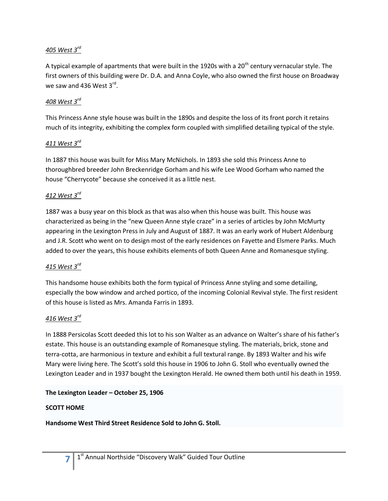## *405 West 3rd*

A typical example of apartments that were built in the 1920s with a  $20<sup>th</sup>$  century vernacular style. The first owners of this building were Dr. D.A. and Anna Coyle, who also owned the first house on Broadway we saw and 436 West  $3^{\text{rd}}$ .

## *408 West 3rd*

This Princess Anne style house was built in the 1890s and despite the loss of its front porch it retains much of its integrity, exhibiting the complex form coupled with simplified detailing typical of the style.

### *411 West 3rd*

In 1887 this house was built for Miss Mary McNichols. In 1893 she sold this Princess Anne to thoroughbred breeder John Breckenridge Gorham and his wife Lee Wood Gorham who named the house "Cherrycote" because she conceived it as a little nest.

### *412 West 3rd*

1887 was a busy year on this block as that was also when this house was built. This house was characterized as being in the "new Queen Anne style craze" in a series of articles by John McMurty appearing in the Lexington Press in July and August of 1887. It was an early work of Hubert Aldenburg and J.R. Scott who went on to design most of the early residences on Fayette and Elsmere Parks. Much added to over the years, this house exhibits elements of both Queen Anne and Romanesque styling.

### *415 West 3rd*

This handsome house exhibits both the form typical of Princess Anne styling and some detailing, especially the bow window and arched portico, of the incoming Colonial Revival style. The first resident of this house is listed as Mrs. Amanda Farris in 1893.

### *416 West 3rd*

In 1888 Persicolas Scott deeded this lot to his son Walter as an advance on Walter's share of his father's estate. This house is an outstanding example of Romanesque styling. The materials, brick, stone and terra-cotta, are harmonious in texture and exhibit a full textural range. By 1893 Walter and his wife Mary were living here. The Scott's sold this house in 1906 to John G. Stoll who eventually owned the Lexington Leader and in 1937 bought the Lexington Herald. He owned them both until his death in 1959.

### **The Lexington Leader – October 25, 1906**

### **SCOTT HOME**

**7**

**Handsome West Third Street Residence Sold to John G. Stoll.**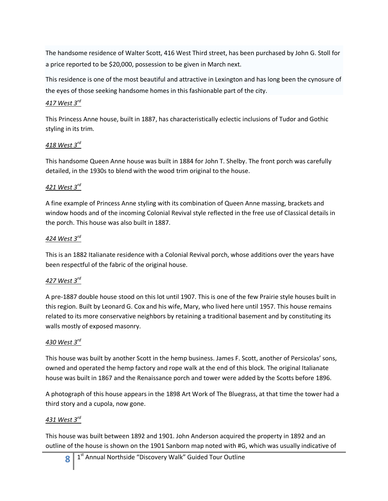The handsome residence of Walter Scott, 416 West Third street, has been purchased by John G. Stoll for a price reported to be \$20,000, possession to be given in March next.

This residence is one of the most beautiful and attractive in Lexington and has long been the cynosure of the eyes of those seeking handsome homes in this fashionable part of the city.

## *417 West 3rd*

This Princess Anne house, built in 1887, has characteristically eclectic inclusions of Tudor and Gothic styling in its trim.

## *418 West 3rd*

This handsome Queen Anne house was built in 1884 for John T. Shelby. The front porch was carefully detailed, in the 1930s to blend with the wood trim original to the house.

## *421 West 3rd*

A fine example of Princess Anne styling with its combination of Queen Anne massing, brackets and window hoods and of the incoming Colonial Revival style reflected in the free use of Classical details in the porch. This house was also built in 1887.

## *424 West 3rd*

This is an 1882 Italianate residence with a Colonial Revival porch, whose additions over the years have been respectful of the fabric of the original house.

## *427 West 3rd*

A pre-1887 double house stood on this lot until 1907. This is one of the few Prairie style houses built in this region. Built by Leonard G. Cox and his wife, Mary, who lived here until 1957. This house remains related to its more conservative neighbors by retaining a traditional basement and by constituting its walls mostly of exposed masonry.

## *430 West 3rd*

This house was built by another Scott in the hemp business. James F. Scott, another of Persicolas' sons, owned and operated the hemp factory and rope walk at the end of this block. The original Italianate house was built in 1867 and the Renaissance porch and tower were added by the Scotts before 1896.

A photograph of this house appears in the 1898 Art Work of The Bluegrass, at that time the tower had a third story and a cupola, now gone.

## *431 West 3rd*

This house was built between 1892 and 1901. John Anderson acquired the property in 1892 and an outline of the house is shown on the 1901 Sanborn map noted with #G, which was usually indicative of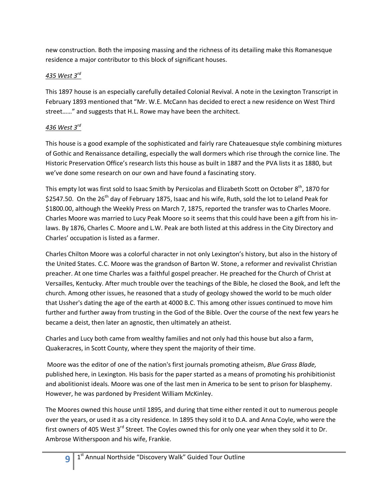new construction. Both the imposing massing and the richness of its detailing make this Romanesque residence a major contributor to this block of significant houses.

# *435 West 3rd*

This 1897 house is an especially carefully detailed Colonial Revival. A note in the Lexington Transcript in February 1893 mentioned that "Mr. W.E. McCann has decided to erect a new residence on West Third street……" and suggests that H.L. Rowe may have been the architect.

# *436 West 3rd*

This house is a good example of the sophisticated and fairly rare Chateauesque style combining mixtures of Gothic and Renaissance detailing, especially the wall dormers which rise through the cornice line. The Historic Preservation Office's research lists this house as built in 1887 and the PVA lists it as 1880, but we've done some research on our own and have found a fascinating story.

This empty lot was first sold to Isaac Smith by Persicolas and Elizabeth Scott on October 8<sup>th</sup>, 1870 for \$2547.50. On the 26<sup>th</sup> day of February 1875, Isaac and his wife, Ruth, sold the lot to Leland Peak for \$1800.00, although the Weekly Press on March 7, 1875, reported the transfer was to Charles Moore. Charles Moore was married to Lucy Peak Moore so it seems that this could have been a gift from his inlaws. By 1876, Charles C. Moore and L.W. Peak are both listed at this address in the City Directory and Charles' occupation is listed as a farmer.

Charles Chilton Moore was a colorful character in not only Lexington's history, but also in the history of the United States. C.C. Moore was the grandson o[f Barton](http://www.therestorationmovement.com/stone,bw.htm) W. Stone, a reformer and revivalist Christian preacher. At one time Charles was a faithful gospel preacher. He preached for the Church of Christ at Versailles, Kentucky. After much trouble over the teachings of the Bible, he closed the Book, and left the church. Among other issues, he reasoned that a study of geology showed the world to be much older that Ussher's dating the age of the earth at 4000 B.C. This among other issues continued to move him further and further away from trusting in the God of the Bible. Over the course of the next few years he became a deist, then later an agnostic, then ultimately an atheist.

Charles and Lucy both came from wealthy families and not only had this house but also a farm, Quakeracres, in Scott County, where they spent the majority of their time.

Moore was the editor of one of the nation's first journals promoting atheism, *Blue Grass Blade,*  published here, in Lexington*.* His basis for the paper started as a means of promoting his prohibitionist and abolitionist ideals. Moore was one of the last men in America to be sent to prison for blasphemy. However, he was pardoned by President William McKinley.

The Moores owned this house until 1895, and during that time either rented it out to numerous people over the years, or used it as a city residence. In 1895 they sold it to D.A. and Anna Coyle, who were the first owners of 405 West 3<sup>rd</sup> Street. The Coyles owned this for only one year when they sold it to Dr. Ambrose Witherspoon and his wife, Frankie.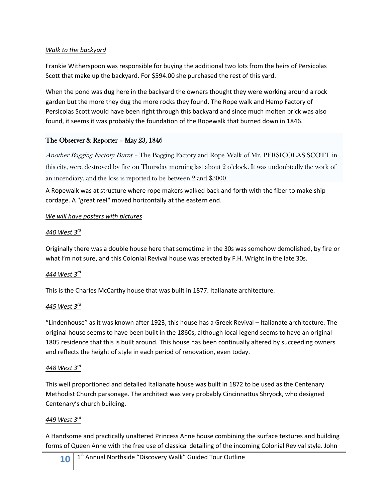### *Walk to the backyard*

Frankie Witherspoon was responsible for buying the additional two lots from the heirs of Persicolas Scott that make up the backyard. For \$594.00 she purchased the rest of this yard.

When the pond was dug here in the backyard the owners thought they were working around a rock garden but the more they dug the more rocks they found. The Rope walk and Hemp Factory of Persicolas Scott would have been right through this backyard and since much molten brick was also found, it seems it was probably the foundation of the Ropewalk that burned down in 1846.

## The Observer & Reporter – May 23, 1846

Another Bagging Factory Burnt – The Bagging Factory and Rope Walk of Mr. PERSICOLAS SCOTT in this city, were destroyed by fire on Thursday morning last about 2 o'clock. It was undoubtedly the work of an incendiary, and the loss is reported to be between 2 and \$3000.

A Ropewalk was at structure where rope makers walked back and forth with the fiber to make ship cordage. A "great reel" moved horizontally at the eastern end.

### *We will have posters with pictures*

## *440 West 3rd*

Originally there was a double house here that sometime in the 30s was somehow demolished, by fire or what I'm not sure, and this Colonial Revival house was erected by F.H. Wright in the late 30s.

## *444 West 3rd*

This is the Charles McCarthy house that was built in 1877. Italianate architecture.

## *445 West 3rd*

"Lindenhouse" as it was known after 1923, this house has a Greek Revival – Italianate architecture. The original house seems to have been built in the 1860s, although local legend seems to have an original 1805 residence that this is built around. This house has been continually altered by succeeding owners and reflects the height of style in each period of renovation, even today.

## *448 West 3rd*

This well proportioned and detailed Italianate house was built in 1872 to be used as the Centenary Methodist Church parsonage. The architect was very probably Cincinnattus Shryock, who designed Centenary's church building.

## *449 West 3rd*

A Handsome and practically unaltered Princess Anne house combining the surface textures and building forms of Queen Anne with the free use of classical detailing of the incoming Colonial Revival style. John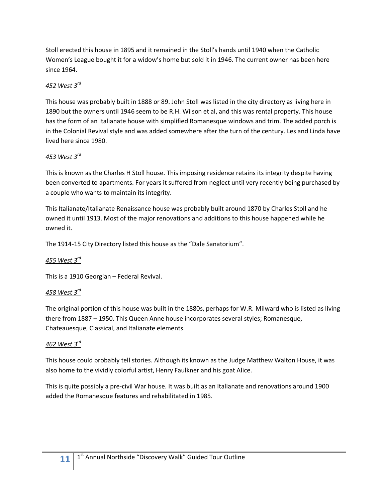Stoll erected this house in 1895 and it remained in the Stoll's hands until 1940 when the Catholic Women's League bought it for a widow's home but sold it in 1946. The current owner has been here since 1964.

## *452 West 3rd*

This house was probably built in 1888 or 89. John Stoll was listed in the city directory as living here in 1890 but the owners until 1946 seem to be R.H. Wilson et al, and this was rental property. This house has the form of an Italianate house with simplified Romanesque windows and trim. The added porch is in the Colonial Revival style and was added somewhere after the turn of the century. Les and Linda have lived here since 1980.

## *453 West 3rd*

This is known as the Charles H Stoll house. This imposing residence retains its integrity despite having been converted to apartments. For years it suffered from neglect until very recently being purchased by a couple who wants to maintain its integrity.

This Italianate/Italianate Renaissance house was probably built around 1870 by Charles Stoll and he owned it until 1913. Most of the major renovations and additions to this house happened while he owned it.

The 1914-15 City Directory listed this house as the "Dale Sanatorium".

## *455 West 3rd*

This is a 1910 Georgian – Federal Revival.

## *458 West 3rd*

The original portion of this house was built in the 1880s, perhaps for W.R. Milward who is listed as living there from 1887 – 1950. This Queen Anne house incorporates several styles; Romanesque, Chateauesque, Classical, and Italianate elements.

## *462 West 3rd*

This house could probably tell stories. Although its known as the Judge Matthew Walton House, it was also home to the vividly colorful artist, Henry Faulkner and his goat Alice.

This is quite possibly a pre-civil War house. It was built as an Italianate and renovations around 1900 added the Romanesque features and rehabilitated in 1985.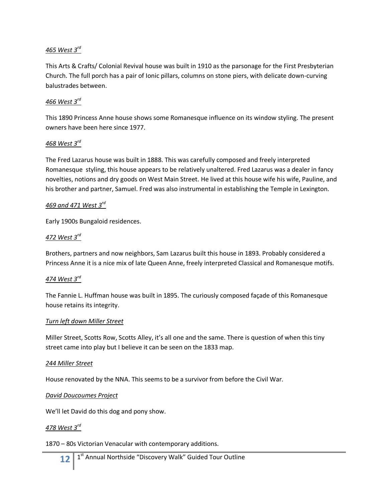## *465 West 3 rd*

This Arts & Crafts/ Colonial Revival house was built in 1910 as the parsonage for the First Presbyterian Church. The full porch has a pair of Ionic pillars, columns on stone piers, with delicate down-curving balustrades between.

### *466 West 3rd*

This 1890 Princess Anne house shows some Romanesque influence on its window styling. The present owners have been here since 1977.

### *468 West 3rd*

The Fred Lazarus house was built in 1888. This was carefully composed and freely interpreted Romanesque styling, this house appears to be relatively unaltered. Fred Lazarus was a dealer in fancy novelties, notions and dry goods on West Main Street. He lived at this house wife his wife, Pauline, and his brother and partner, Samuel. Fred was also instrumental in establishing the Temple in Lexington.

### *469 and 471 West 3rd*

Early 1900s Bungaloid residences.

### *472 West 3rd*

Brothers, partners and now neighbors, Sam Lazarus built this house in 1893. Probably considered a Princess Anne it is a nice mix of late Queen Anne, freely interpreted Classical and Romanesque motifs.

### *474 West 3rd*

The Fannie L. Huffman house was built in 1895. The curiously composed façade of this Romanesque house retains its integrity.

#### *Turn left down Miller Street*

Miller Street, Scotts Row, Scotts Alley, it's all one and the same. There is question of when this tiny street came into play but I believe it can be seen on the 1833 map.

#### *244 Miller Street*

House renovated by the NNA. This seems to be a survivor from before the Civil War.

#### *David Doucoumes Project*

We'll let David do this dog and pony show.

### *478 West 3rd*

1870 – 80s Victorian Venacular with contemporary additions.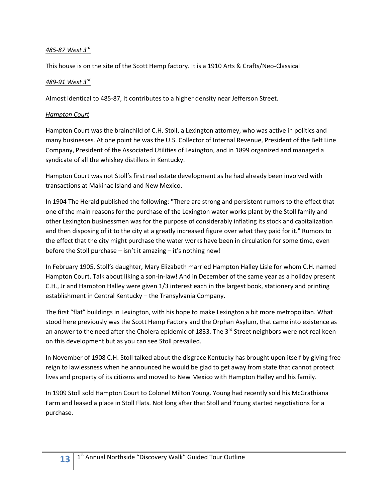## *485-87 West 3rd*

This house is on the site of the Scott Hemp factory. It is a 1910 Arts & Crafts/Neo-Classical

## *489-91 West 3rd*

Almost identical to 485-87, it contributes to a higher density near Jefferson Street.

### *Hampton Court*

Hampton Court was the brainchild of C.H. Stoll, a Lexington attorney, who was active in politics and many businesses. At one point he was the U.S. Collector of Internal Revenue, President of the Belt Line Company, President of the Associated Utilities of Lexington, and in 1899 organized and managed a syndicate of all the whiskey distillers in Kentucky.

Hampton Court was not Stoll's first real estate development as he had already been involved with transactions at Makinac Island and New Mexico.

In 1904 The Herald published the following: "There are strong and persistent rumors to the effect that one of the main reasons for the purchase of the Lexington water works plant by the Stoll family and other Lexington businessmen was for the purpose of considerably inflating its stock and capitalization and then disposing of it to the city at a greatly increased figure over what they paid for it." Rumors to the effect that the city might purchase the water works have been in circulation for some time, even before the Stoll purchase – isn't it amazing – it's nothing new!

In February 1905, Stoll's daughter, Mary Elizabeth married Hampton Halley Lisle for whom C.H. named Hampton Court. Talk about liking a son-in-law! And in December of the same year as a holiday present C.H., Jr and Hampton Halley were given 1/3 interest each in the largest book, stationery and printing establishment in Central Kentucky – the Transylvania Company.

The first "flat" buildings in Lexington, with his hope to make Lexington a bit more metropolitan. What stood here previously was the Scott Hemp Factory and the Orphan Asylum, that came into existence as an answer to the need after the Cholera epidemic of 1833. The 3 $^{rd}$  Street neighbors were not real keen on this development but as you can see Stoll prevailed.

In November of 1908 C.H. Stoll talked about the disgrace Kentucky has brought upon itself by giving free reign to lawlessness when he announced he would be glad to get away from state that cannot protect lives and property of its citizens and moved to New Mexico with Hampton Halley and his family.

In 1909 Stoll sold Hampton Court to Colonel Milton Young. Young had recently sold his McGrathiana Farm and leased a place in Stoll Flats. Not long after that Stoll and Young started negotiations for a purchase.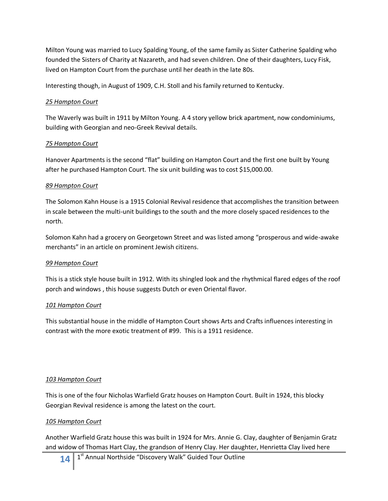Milton Young was married to Lucy Spalding Young, of the same family as Sister Catherine Spalding who founded the Sisters of Charity at Nazareth, and had seven children. One of their daughters, Lucy Fisk, lived on Hampton Court from the purchase until her death in the late 80s.

Interesting though, in August of 1909, C.H. Stoll and his family returned to Kentucky.

### *25 Hampton Court*

The Waverly was built in 1911 by Milton Young. A 4 story yellow brick apartment, now condominiums, building with Georgian and neo-Greek Revival details.

### *75 Hampton Court*

Hanover Apartments is the second "flat" building on Hampton Court and the first one built by Young after he purchased Hampton Court. The six unit building was to cost \$15,000.00.

### *89 Hampton Court*

The Solomon Kahn House is a 1915 Colonial Revival residence that accomplishes the transition between in scale between the multi-unit buildings to the south and the more closely spaced residences to the north.

Solomon Kahn had a grocery on Georgetown Street and was listed among "prosperous and wide-awake merchants" in an article on prominent Jewish citizens.

### *99 Hampton Court*

This is a stick style house built in 1912. With its shingled look and the rhythmical flared edges of the roof porch and windows , this house suggests Dutch or even Oriental flavor.

### *101 Hampton Court*

This substantial house in the middle of Hampton Court shows Arts and Crafts influences interesting in contrast with the more exotic treatment of #99. This is a 1911 residence.

## *103 Hampton Court*

This is one of the four Nicholas Warfield Gratz houses on Hampton Court. Built in 1924, this blocky Georgian Revival residence is among the latest on the court.

## *105 Hampton Court*

Another Warfield Gratz house this was built in 1924 for Mrs. Annie G. Clay, daughter of Benjamin Gratz and widow of Thomas Hart Clay, the grandson of Henry Clay. Her daughter, Henrietta Clay lived here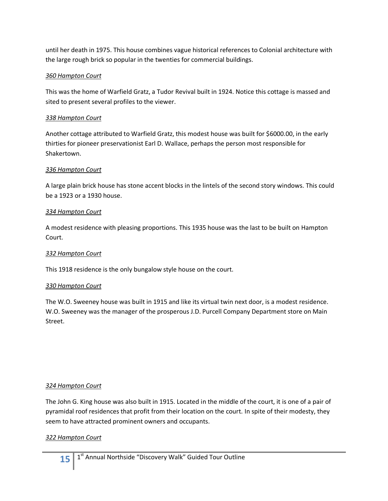until her death in 1975. This house combines vague historical references to Colonial architecture with the large rough brick so popular in the twenties for commercial buildings.

## *360 Hampton Court*

This was the home of Warfield Gratz, a Tudor Revival built in 1924. Notice this cottage is massed and sited to present several profiles to the viewer.

## *338 Hampton Court*

Another cottage attributed to Warfield Gratz, this modest house was built for \$6000.00, in the early thirties for pioneer preservationist Earl D. Wallace, perhaps the person most responsible for Shakertown.

## *336 Hampton Court*

A large plain brick house has stone accent blocks in the lintels of the second story windows. This could be a 1923 or a 1930 house.

## *334 Hampton Court*

A modest residence with pleasing proportions. This 1935 house was the last to be built on Hampton Court.

## *332 Hampton Court*

This 1918 residence is the only bungalow style house on the court.

## *330 Hampton Court*

The W.O. Sweeney house was built in 1915 and like its virtual twin next door, is a modest residence. W.O. Sweeney was the manager of the prosperous J.D. Purcell Company Department store on Main Street.

## *324 Hampton Court*

The John G. King house was also built in 1915. Located in the middle of the court, it is one of a pair of pyramidal roof residences that profit from their location on the court. In spite of their modesty, they seem to have attracted prominent owners and occupants.

## *322 Hampton Court*